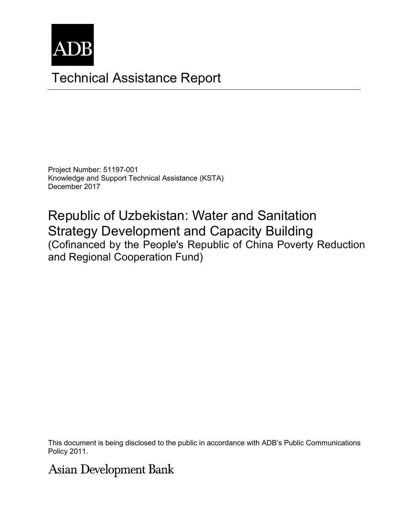

# Technical Assistance Report

Project Number: 51197-001 Knowledge and Support Technical Assistance (KSTA) December 2017

Republic of Uzbekistan: Water and Sanitation Strategy Development and Capacity Building (Cofinanced by the People's Republic of China Poverty Reduction and Regional Cooperation Fund)

This document is being disclosed to the public in accordance with ADB's Public Communications members, Board of Directors, Management, or staff, and may be preliminary in nature. Policy 2011.

# **Asian Development Bank**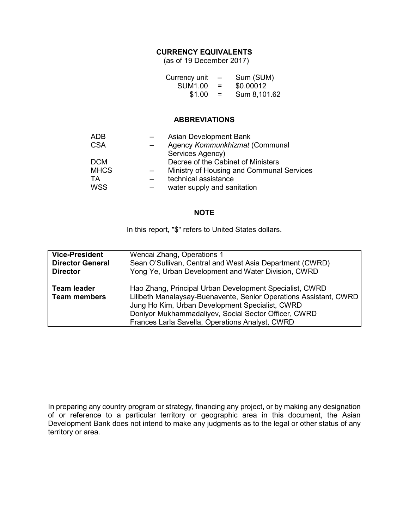### **CURRENCY EQUIVALENTS**

(as of 19 December 2017)

| Currency unit  | $\overline{\phantom{m}}$ | Sum (SUM)    |
|----------------|--------------------------|--------------|
| <b>SUM1.00</b> | =                        | \$0.00012    |
| \$1.00         | =                        | Sum 8,101.62 |

#### **ABBREVIATIONS**

| ADB         | Asian Development Bank                    |
|-------------|-------------------------------------------|
| <b>CSA</b>  | Agency Kommunkhizmat (Communal            |
|             | Services Agency)                          |
| <b>DCM</b>  | Decree of the Cabinet of Ministers        |
| <b>MHCS</b> | Ministry of Housing and Communal Services |
| TA          | technical assistance                      |
| <b>WSS</b>  | water supply and sanitation               |
|             |                                           |

#### **NOTE**

In this report, "\$" refers to United States dollars.

| <b>Vice-President</b>                     | Wencai Zhang, Operations 1                                                                                                                                                                                                                                                                 |
|-------------------------------------------|--------------------------------------------------------------------------------------------------------------------------------------------------------------------------------------------------------------------------------------------------------------------------------------------|
| <b>Director General</b>                   | Sean O'Sullivan, Central and West Asia Department (CWRD)                                                                                                                                                                                                                                   |
| <b>Director</b>                           | Yong Ye, Urban Development and Water Division, CWRD                                                                                                                                                                                                                                        |
| <b>Team leader</b><br><b>Team members</b> | Hao Zhang, Principal Urban Development Specialist, CWRD<br>Lilibeth Manalaysay-Buenavente, Senior Operations Assistant, CWRD<br>Jung Ho Kim, Urban Development Specialist, CWRD<br>Doniyor Mukhammadaliyev, Social Sector Officer, CWRD<br>Frances Larla Savella, Operations Analyst, CWRD |

In preparing any country program or strategy, financing any project, or by making any designation of or reference to a particular territory or geographic area in this document, the Asian Development Bank does not intend to make any judgments as to the legal or other status of any territory or area.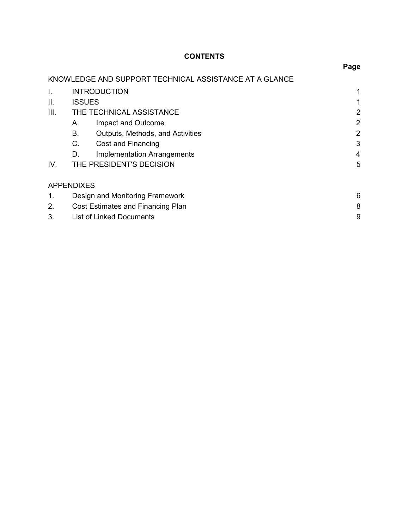# **CONTENTS**

|      |                   |                                                        | Page           |
|------|-------------------|--------------------------------------------------------|----------------|
|      |                   | KNOWLEDGE AND SUPPORT TECHNICAL ASSISTANCE AT A GLANCE |                |
| I.   |                   | <b>INTRODUCTION</b>                                    |                |
| ΙΙ.  | <b>ISSUES</b>     |                                                        |                |
| III. |                   | THE TECHNICAL ASSISTANCE                               | 2              |
|      | А.                | Impact and Outcome                                     | $\overline{2}$ |
|      | Β.                | Outputs, Methods, and Activities                       | 2              |
|      | $C_{\cdot}$       | Cost and Financing                                     | 3              |
|      | D.                | <b>Implementation Arrangements</b>                     | 4              |
| IV.  |                   | THE PRESIDENT'S DECISION                               | 5              |
|      | <b>APPENDIXES</b> |                                                        |                |
| 1.   |                   | Design and Monitoring Framework                        | 6              |
| 2.   |                   | Cost Estimates and Financing Plan                      | 8              |
| 3.   |                   | <b>List of Linked Documents</b>                        | 9              |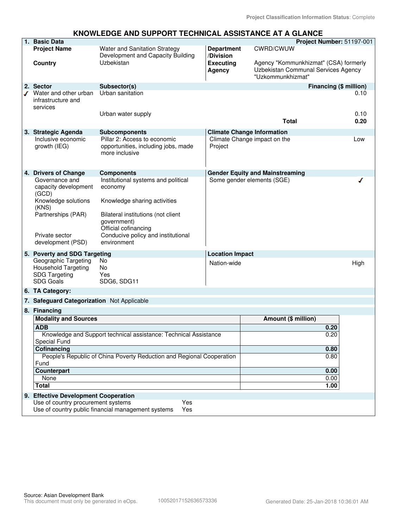#### **KNOWLEDGE AND SUPPORT TECHNICAL ASSISTANCE AT A GLANCE**

|   | 1. Basic Data                                                                                          |                                                                                       |                                   |                                                                                                   | <b>Project Number: 51197-001</b> |  |
|---|--------------------------------------------------------------------------------------------------------|---------------------------------------------------------------------------------------|-----------------------------------|---------------------------------------------------------------------------------------------------|----------------------------------|--|
|   | <b>Project Name</b>                                                                                    | Water and Sanitation Strategy<br>Development and Capacity Building                    | <b>Department</b><br>/Division    | <b>CWRD/CWUW</b>                                                                                  |                                  |  |
|   | Country                                                                                                | Uzbekistan                                                                            | <b>Executing</b><br><b>Agency</b> | Agency "Kommunkhizmat" (CSA) formerly<br>Uzbekistan Communal Services Agency<br>"Uzkommunkhizmat" |                                  |  |
|   | 2. Sector                                                                                              | Subsector(s)                                                                          |                                   |                                                                                                   | Financing (\$ million)           |  |
| ℐ | Water and other urban<br>infrastructure and<br>services                                                | Urban sanitation<br>Urban water supply                                                |                                   |                                                                                                   | 0.10<br>0.10                     |  |
|   |                                                                                                        |                                                                                       |                                   | <b>Total</b>                                                                                      | 0.20                             |  |
|   | 3. Strategic Agenda                                                                                    | <b>Subcomponents</b>                                                                  |                                   | <b>Climate Change Information</b>                                                                 |                                  |  |
|   | Inclusive economic<br>growth (IEG)                                                                     | Pillar 2: Access to economic<br>opportunities, including jobs, made<br>more inclusive | Project                           | Climate Change impact on the                                                                      | Low                              |  |
|   | 4. Drivers of Change                                                                                   | <b>Components</b>                                                                     |                                   | <b>Gender Equity and Mainstreaming</b>                                                            |                                  |  |
|   | Governance and<br>capacity development<br>(GCD)                                                        | Institutional systems and political<br>economy                                        | Some gender elements (SGE)        |                                                                                                   |                                  |  |
|   | Knowledge solutions<br>(KNS)                                                                           | Knowledge sharing activities                                                          |                                   |                                                                                                   |                                  |  |
|   | Partnerships (PAR)                                                                                     | Bilateral institutions (not client<br>government)<br>Official cofinancing             |                                   |                                                                                                   |                                  |  |
|   | Private sector<br>development (PSD)                                                                    | Conducive policy and institutional<br>environment                                     |                                   |                                                                                                   |                                  |  |
|   | 5. Poverty and SDG Targeting                                                                           |                                                                                       | <b>Location Impact</b>            |                                                                                                   |                                  |  |
|   | Geographic Targeting<br><b>Household Targeting</b>                                                     | No<br>No                                                                              | Nation-wide                       |                                                                                                   | High                             |  |
|   | <b>SDG Targeting</b>                                                                                   | Yes                                                                                   |                                   |                                                                                                   |                                  |  |
|   | <b>SDG Goals</b>                                                                                       | SDG6, SDG11                                                                           |                                   |                                                                                                   |                                  |  |
|   | 6. TA Category:                                                                                        |                                                                                       |                                   |                                                                                                   |                                  |  |
|   | 7. Safeguard Categorization Not Applicable                                                             |                                                                                       |                                   |                                                                                                   |                                  |  |
|   | 8. Financing                                                                                           |                                                                                       |                                   |                                                                                                   |                                  |  |
|   | <b>Modality and Sources</b>                                                                            |                                                                                       |                                   | Amount (\$ million)                                                                               |                                  |  |
|   | <b>ADB</b>                                                                                             |                                                                                       |                                   |                                                                                                   | 0.20                             |  |
|   | Knowledge and Support technical assistance: Technical Assistance<br><b>Special Fund</b>                |                                                                                       |                                   |                                                                                                   | 0.20                             |  |
|   | Cofinancing                                                                                            |                                                                                       |                                   | 0.80                                                                                              |                                  |  |
|   | People's Republic of China Poverty Reduction and Regional Cooperation                                  |                                                                                       |                                   |                                                                                                   | 0.80                             |  |
|   | Fund                                                                                                   |                                                                                       |                                   |                                                                                                   |                                  |  |
|   | Counterpart                                                                                            |                                                                                       |                                   | 0.00                                                                                              |                                  |  |
|   | 0.00<br>None                                                                                           |                                                                                       |                                   |                                                                                                   |                                  |  |
|   | Total<br>1.00                                                                                          |                                                                                       |                                   |                                                                                                   |                                  |  |
|   | 9. Effective Development Cooperation                                                                   |                                                                                       |                                   |                                                                                                   |                                  |  |
|   | Yes<br>Use of country procurement systems<br>Use of country public financial management systems<br>Yes |                                                                                       |                                   |                                                                                                   |                                  |  |
|   |                                                                                                        |                                                                                       |                                   |                                                                                                   |                                  |  |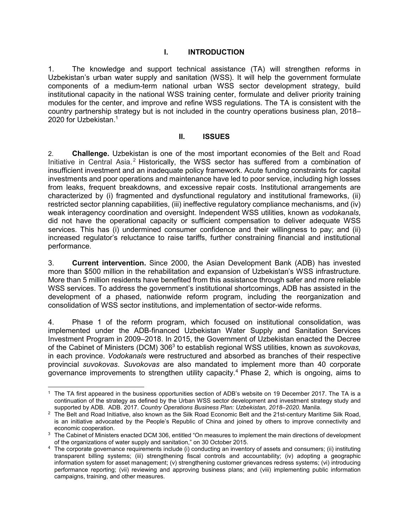#### **I. INTRODUCTION**

1. The knowledge and support technical assistance (TA) will strengthen reforms in Uzbekistan's urban water supply and sanitation (WSS). It will help the government formulate components of a medium-term national urban WSS sector development strategy, build institutional capacity in the national WSS training center, formulate and deliver priority training modules for the center, and improve and refine WSS regulations. The TA is consistent with the country partnership strategy but is not included in the country operations business plan, 2018– 2020 for Uzbekistan.<sup>1</sup>

#### **II. ISSUES**

2. **Challenge.** Uzbekistan is one of the most important economies of the Belt and Road Initiative in Central Asia.<sup>2</sup> Historically, the WSS sector has suffered from a combination of insufficient investment and an inadequate policy framework. Acute funding constraints for capital investments and poor operations and maintenance have led to poor service, including high losses from leaks, frequent breakdowns, and excessive repair costs. Institutional arrangements are characterized by (i) fragmented and dysfunctional regulatory and institutional frameworks, (ii) restricted sector planning capabilities, (iii) ineffective regulatory compliance mechanisms, and (iv) weak interagency coordination and oversight. Independent WSS utilities, known as *vodokanals*, did not have the operational capacity or sufficient compensation to deliver adequate WSS services. This has (i) undermined consumer confidence and their willingness to pay; and (ii) increased regulator's reluctance to raise tariffs, further constraining financial and institutional performance.

3. **Current intervention.** Since 2000, the Asian Development Bank (ADB) has invested more than \$500 million in the rehabilitation and expansion of Uzbekistan's WSS infrastructure. More than 5 million residents have benefited from this assistance through safer and more reliable WSS services. To address the government's institutional shortcomings, ADB has assisted in the development of a phased, nationwide reform program, including the reorganization and consolidation of WSS sector institutions, and implementation of sector-wide reforms.

4. Phase 1 of the reform program, which focused on institutional consolidation, was implemented under the ADB-financed Uzbekistan Water Supply and Sanitation Services Investment Program in 2009–2018. In 2015, the Government of Uzbekistan enacted the Decree of the Cabinet of Ministers (DCM) 306<sup>3</sup> to establish regional WSS utilities, known as *suvokovas,* in each province. *Vodokanals* were restructured and absorbed as branches of their respective provincial *suvokovas*. *Suvokovas* are also mandated to implement more than 40 corporate governance improvements to strengthen utility capacity.<sup>4</sup> Phase 2, which is ongoing, aims to

 $\overline{a}$ 

<sup>1</sup> The TA first appeared in the business opportunities section of ADB's website on 19 December 2017. The TA is a continuation of the strategy as defined by the Urban WSS sector development and investment strategy study and supported by ADB. ADB. 2017. *Country Operations Business Plan: Uzbekistan, 2018–2020*. Manila.

 $2$  The Belt and Road Initiative, also known as the Silk Road Economic Belt and the 21st-century Maritime Silk Road, is an initiative advocated by the People's Republic of China and joined by others to improve connectivity and economic cooperation.

 $^3$  The Cabinet of Ministers enacted DCM 306, entitled "On measures to implement the main directions of development of the organizations of water supply and sanitation," on 30 October 2015.

<sup>4</sup> The corporate governance requirements include (i) conducting an inventory of assets and consumers; (ii) instituting transparent billing systems; (iii) strengthening fiscal controls and accountability; (iv) adopting a geographic information system for asset management; (v) strengthening customer grievances redress systems; (vi) introducing performance reporting; (vii) reviewing and approving business plans; and (viii) implementing public information campaigns, training, and other measures.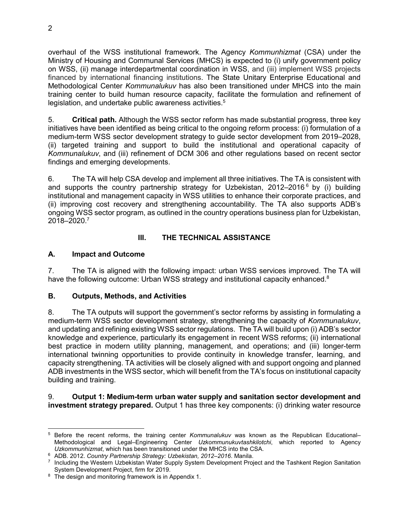overhaul of the WSS institutional framework. The Agency *Kommunhizmat* (CSA) under the Ministry of Housing and Communal Services (MHCS) is expected to (i) unify government policy on WSS, (ii) manage interdepartmental coordination in WSS, and (iii) implement WSS projects financed by international financing institutions. The State Unitary Enterprise Educational and Methodological Center *Kommunalukuv* has also been transitioned under MHCS into the main training center to build human resource capacity, facilitate the formulation and refinement of legislation, and undertake public awareness activities.<sup>5</sup>

5. **Critical path.** Although the WSS sector reform has made substantial progress, three key initiatives have been identified as being critical to the ongoing reform process: (i) formulation of a medium-term WSS sector development strategy to guide sector development from 2019–2028, (ii) targeted training and support to build the institutional and operational capacity of *Kommunalukuv*, and (iii) refinement of DCM 306 and other regulations based on recent sector findings and emerging developments.

6. The TA will help CSA develop and implement all three initiatives. The TA is consistent with and supports the country partnership strategy for Uzbekistan, 2012–2016<sup>6</sup> by (i) building institutional and management capacity in WSS utilities to enhance their corporate practices, and (ii) improving cost recovery and strengthening accountability. The TA also supports ADB's ongoing WSS sector program, as outlined in the country operations business plan for Uzbekistan, 2018–2020.<sup>7</sup>

### **III. THE TECHNICAL ASSISTANCE**

#### **A. Impact and Outcome**

7. The TA is aligned with the following impact: urban WSS services improved. The TA will have the following outcome: Urban WSS strategy and institutional capacity enhanced.<sup>8</sup>

#### **B. Outputs, Methods, and Activities**

8. The TA outputs will support the government's sector reforms by assisting in formulating a medium-term WSS sector development strategy, strengthening the capacity of *Kommunalukuv*, and updating and refining existing WSS sector regulations. The TA will build upon (i) ADB's sector knowledge and experience, particularly its engagement in recent WSS reforms; (ii) international best practice in modern utility planning, management, and operations; and (iii) longer-term international twinning opportunities to provide continuity in knowledge transfer, learning, and capacity strengthening. TA activities will be closely aligned with and support ongoing and planned ADB investments in the WSS sector, which will benefit from the TA's focus on institutional capacity building and training.

#### 9. **Output 1: Medium-term urban water supply and sanitation sector development and investment strategy prepared.** Output 1 has three key components: (i) drinking water resource

<sup>-</sup>5 Before the recent reforms, the training center *Kommunalukuv* was known as the Republican Educational– Methodological and Legal–Engineering Center *Uzkommunukuvtashkilotchi*, which reported to Agency *Uzkommunhizmat*, which has been transitioned under the MHCS into the CSA.

<sup>6</sup> ADB. 2012. *Country Partnership Strategy: Uzbekistan, 2012–2016*. Manila.

<sup>7</sup> Including the Western Uzbekistan Water Supply System Development Project and the Tashkent Region Sanitation System Development Project, firm for 2019.

<sup>&</sup>lt;sup>8</sup> The design and monitoring framework is in Appendix 1.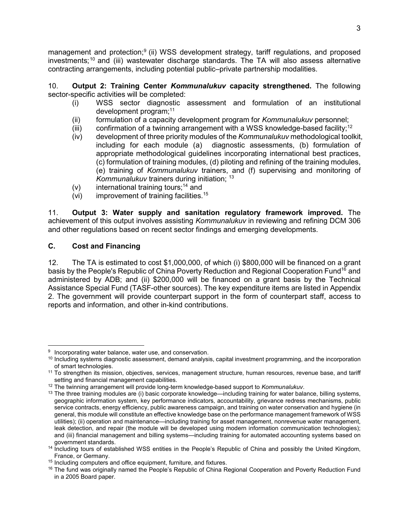management and protection;<sup>9</sup> (ii) WSS development strategy, tariff regulations, and proposed investments;<sup>10</sup> and (iii) wastewater discharge standards. The TA will also assess alternative contracting arrangements, including potential public–private partnership modalities.

10. **Output 2: Training Center** *Kommunalukuv* **capacity strengthened.** The following sector-specific activities will be completed:

- (i) WSS sector diagnostic assessment and formulation of an institutional development program;<sup>11</sup>
- (ii) formulation of a capacity development program for *Kommunalukuv* personnel;
- (iii) confirmation of a twinning arrangement with a WSS knowledge-based facility;<sup>12</sup>
- (iv) development of three priority modules of the *Kommunalukuv* methodological toolkit, including for each module (a) diagnostic assessments, (b) formulation of appropriate methodological guidelines incorporating international best practices, (c) formulation of training modules, (d) piloting and refining of the training modules, (e) training of *Kommunalukuv* trainers, and (f) supervising and monitoring of *Kommunalukuv* trainers during initiation; <sup>13</sup>
- $(v)$  international training tours;<sup>14</sup> and
- (vi) improvement of training facilities.<sup>15</sup>

11. **Output 3: Water supply and sanitation regulatory framework improved.** The achievement of this output involves assisting *Kommunalukuv* in reviewing and refining DCM 306 and other regulations based on recent sector findings and emerging developments.

#### **C. Cost and Financing**

12. The TA is estimated to cost \$1,000,000, of which (i) \$800,000 will be financed on a grant basis by the People's Republic of China Poverty Reduction and Regional Cooperation Fund<sup>16</sup> and administered by ADB; and (ii) \$200,000 will be financed on a grant basis by the Technical Assistance Special Fund (TASF-other sources). The key expenditure items are listed in Appendix 2. The government will provide counterpart support in the form of counterpart staff, access to reports and information, and other in-kind contributions.

<sup>-</sup><sup>9</sup> Incorporating water balance, water use, and conservation.

 $10$  Including systems diagnostic assessment, demand analysis, capital investment programming, and the incorporation of smart technologies.

<sup>&</sup>lt;sup>11</sup> To strengthen its mission, objectives, services, management structure, human resources, revenue base, and tariff setting and financial management capabilities.

<sup>12</sup> The twinning arrangement will provide long-term knowledge-based support to *Kommunalukuv*.

 $13$  The three training modules are (i) basic corporate knowledge—including training for water balance, billing systems, geographic information system, key performance indicators, accountability, grievance redress mechanisms, public service contracts, energy efficiency, public awareness campaign, and training on water conservation and hygiene (in general, this module will constitute an effective knowledge base on the performance management framework of WSS utilities); (ii) operation and maintenance—including training for asset management, nonrevenue water management, leak detection, and repair (the module will be developed using modern information communication technologies); and (iii) financial management and billing systems—including training for automated accounting systems based on government standards.

<sup>14</sup> Including tours of established WSS entities in the People's Republic of China and possibly the United Kingdom, France, or Germany.

<sup>&</sup>lt;sup>15</sup> Including computers and office equipment, furniture, and fixtures.

<sup>&</sup>lt;sup>16</sup> The fund was originally named the People's Republic of China Regional Cooperation and Poverty Reduction Fund in a 2005 Board paper.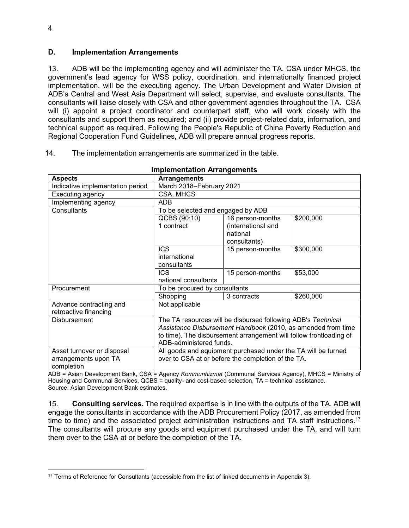#### **D. Implementation Arrangements**

13. ADB will be the implementing agency and will administer the TA. CSA under MHCS, the government's lead agency for WSS policy, coordination, and internationally financed project implementation, will be the executing agency. The Urban Development and Water Division of ADB's Central and West Asia Department will select, supervise, and evaluate consultants. The consultants will liaise closely with CSA and other government agencies throughout the TA. CSA will (i) appoint a project coordinator and counterpart staff, who will work closely with the consultants and support them as required; and (ii) provide project-related data, information, and technical support as required. Following the People's Republic of China Poverty Reduction and Regional Cooperation Fund Guidelines, ADB will prepare annual progress reports.

| <b>Implementation Arrangements</b>                               |                                                                                                                                                                                                                               |                                                                    |           |  |
|------------------------------------------------------------------|-------------------------------------------------------------------------------------------------------------------------------------------------------------------------------------------------------------------------------|--------------------------------------------------------------------|-----------|--|
| <b>Aspects</b>                                                   | <b>Arrangements</b>                                                                                                                                                                                                           |                                                                    |           |  |
| Indicative implementation period                                 | March 2018-February 2021                                                                                                                                                                                                      |                                                                    |           |  |
| Executing agency                                                 | CSA, MHCS                                                                                                                                                                                                                     |                                                                    |           |  |
| Implementing agency                                              | ADB                                                                                                                                                                                                                           |                                                                    |           |  |
| Consultants                                                      | To be selected and engaged by ADB                                                                                                                                                                                             |                                                                    |           |  |
|                                                                  | QCBS (90:10)<br>1 contract                                                                                                                                                                                                    | 16 person-months<br>(international and<br>national<br>consultants) | \$200,000 |  |
|                                                                  | <b>ICS</b><br>international<br>consultants                                                                                                                                                                                    | 15 person-months                                                   | \$300,000 |  |
|                                                                  | <b>ICS</b><br>national consultants                                                                                                                                                                                            | 15 person-months                                                   | \$53,000  |  |
| Procurement                                                      | To be procured by consultants                                                                                                                                                                                                 |                                                                    |           |  |
|                                                                  | Shopping                                                                                                                                                                                                                      | 3 contracts                                                        | \$260,000 |  |
| Advance contracting and<br>retroactive financing                 | Not applicable                                                                                                                                                                                                                |                                                                    |           |  |
| <b>Disbursement</b>                                              | The TA resources will be disbursed following ADB's Technical<br>Assistance Disbursement Handbook (2010, as amended from time<br>to time). The disbursement arrangement will follow frontloading of<br>ADB-administered funds. |                                                                    |           |  |
| Asset turnover or disposal<br>arrangements upon TA<br>completion | All goods and equipment purchased under the TA will be turned<br>over to CSA at or before the completion of the TA.<br>$ADD - Aqion Develament Bank, CCA - Aqonay Komminbismat (Comminal Equations Aqonay) NILCC - Ministay,$ |                                                                    |           |  |

#### 14. The implementation arrangements are summarized in the table.

ADB = Asian Development Bank, CSA = Agency *Kommunhizmat* (Communal Services Agency), MHCS = Ministry of Housing and Communal Services, QCBS = quality- and cost-based selection, TA = technical assistance. Source: Asian Development Bank estimates.

15. **Consulting services.** The required expertise is in line with the outputs of the TA. ADB will engage the consultants in accordance with the ADB Procurement Policy (2017, as amended from time to time) and the associated project administration instructions and TA staff instructions.<sup>17</sup> The consultants will procure any goods and equipment purchased under the TA, and will turn them over to the CSA at or before the completion of the TA.

 $\overline{a}$ <sup>17</sup> Terms of Reference for Consultants (accessible from the list of linked documents in Appendix 3).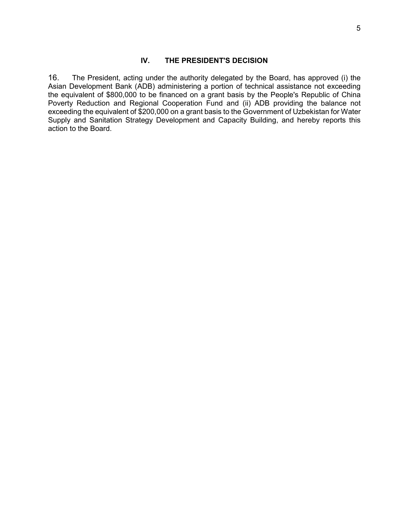#### **IV. THE PRESIDENT'S DECISION**

16. The President, acting under the authority delegated by the Board, has approved (i) the Asian Development Bank (ADB) administering a portion of technical assistance not exceeding the equivalent of \$800,000 to be financed on a grant basis by the People's Republic of China Poverty Reduction and Regional Cooperation Fund and (ii) ADB providing the balance not exceeding the equivalent of \$200,000 on a grant basis to the Government of Uzbekistan for Water Supply and Sanitation Strategy Development and Capacity Building, and hereby reports this action to the Board.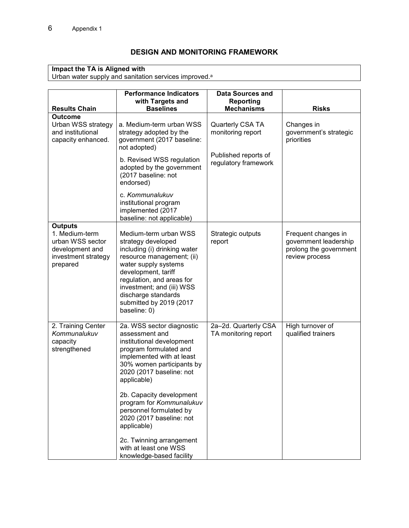# **DESIGN AND MONITORING FRAMEWORK**

#### **Impact the TA is Aligned with**

Urban water supply and sanitation services improved. a

|                                                                                                            | <b>Performance Indicators</b><br>with Targets and                                                                                                                                                                                                                                                                                                                                          | Data Sources and<br>Reporting                |                                                                                          |
|------------------------------------------------------------------------------------------------------------|--------------------------------------------------------------------------------------------------------------------------------------------------------------------------------------------------------------------------------------------------------------------------------------------------------------------------------------------------------------------------------------------|----------------------------------------------|------------------------------------------------------------------------------------------|
| <b>Results Chain</b>                                                                                       | <b>Baselines</b>                                                                                                                                                                                                                                                                                                                                                                           | <b>Mechanisms</b>                            | <b>Risks</b>                                                                             |
| <b>Outcome</b><br>Urban WSS strategy<br>and institutional<br>capacity enhanced.                            | a. Medium-term urban WSS<br>strategy adopted by the<br>government (2017 baseline:<br>not adopted)                                                                                                                                                                                                                                                                                          | Quarterly CSA TA<br>monitoring report        | Changes in<br>government's strategic<br>priorities                                       |
|                                                                                                            | b. Revised WSS regulation<br>adopted by the government<br>(2017 baseline: not<br>endorsed)                                                                                                                                                                                                                                                                                                 | Published reports of<br>regulatory framework |                                                                                          |
|                                                                                                            | c. Kommunalukuv<br>institutional program<br>implemented (2017<br>baseline: not applicable)                                                                                                                                                                                                                                                                                                 |                                              |                                                                                          |
| <b>Outputs</b><br>1. Medium-term<br>urban WSS sector<br>development and<br>investment strategy<br>prepared | Medium-term urban WSS<br>strategy developed<br>including (i) drinking water<br>resource management; (ii)<br>water supply systems<br>development, tariff<br>regulation, and areas for<br>investment; and (iii) WSS<br>discharge standards<br>submitted by 2019 (2017<br>baseline: 0)                                                                                                        | Strategic outputs<br>report                  | Frequent changes in<br>government leadership<br>prolong the government<br>review process |
| 2. Training Center<br>Kommunalukuv<br>capacity<br>strengthened                                             | 2a. WSS sector diagnostic<br>assessment and<br>institutional development<br>program formulated and<br>implemented with at least<br>30% women participants by<br>2020 (2017 baseline: not<br>applicable)<br>2b. Capacity development<br>program for Kommunalukuv<br>personnel formulated by<br>2020 (2017 baseline: not<br>applicable)<br>2c. Twinning arrangement<br>with at least one WSS | 2a-2d. Quarterly CSA<br>TA monitoring report | High turnover of<br>qualified trainers                                                   |
|                                                                                                            | knowledge-based facility                                                                                                                                                                                                                                                                                                                                                                   |                                              |                                                                                          |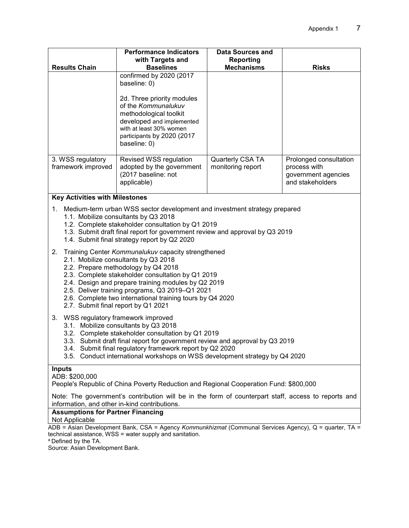|                                                                                                                                                                                                                                                                                                                                                                                                                                                                                                                                                                                                                                                                                                                         | <b>Performance Indicators</b>                                                                                                                                                                                                | <b>Data Sources and</b>               |                                                                                   |  |
|-------------------------------------------------------------------------------------------------------------------------------------------------------------------------------------------------------------------------------------------------------------------------------------------------------------------------------------------------------------------------------------------------------------------------------------------------------------------------------------------------------------------------------------------------------------------------------------------------------------------------------------------------------------------------------------------------------------------------|------------------------------------------------------------------------------------------------------------------------------------------------------------------------------------------------------------------------------|---------------------------------------|-----------------------------------------------------------------------------------|--|
| <b>Results Chain</b>                                                                                                                                                                                                                                                                                                                                                                                                                                                                                                                                                                                                                                                                                                    | with Targets and<br><b>Baselines</b>                                                                                                                                                                                         | Reporting<br><b>Mechanisms</b>        | <b>Risks</b>                                                                      |  |
|                                                                                                                                                                                                                                                                                                                                                                                                                                                                                                                                                                                                                                                                                                                         | confirmed by 2020 (2017<br>baseline: 0)<br>2d. Three priority modules<br>of the Kommunalukuv<br>methodological toolkit<br>developed and implemented<br>with at least 30% women<br>participants by 2020 (2017<br>baseline: 0) |                                       |                                                                                   |  |
| 3. WSS regulatory<br>framework improved                                                                                                                                                                                                                                                                                                                                                                                                                                                                                                                                                                                                                                                                                 | Revised WSS regulation<br>adopted by the government<br>(2017 baseline: not<br>applicable)                                                                                                                                    | Quarterly CSA TA<br>monitoring report | Prolonged consultation<br>process with<br>government agencies<br>and stakeholders |  |
| <b>Key Activities with Milestones</b>                                                                                                                                                                                                                                                                                                                                                                                                                                                                                                                                                                                                                                                                                   |                                                                                                                                                                                                                              |                                       |                                                                                   |  |
| 1. Medium-term urban WSS sector development and investment strategy prepared<br>1.1. Mobilize consultants by Q3 2018<br>1.2. Complete stakeholder consultation by Q1 2019<br>1.3. Submit draft final report for government review and approval by Q3 2019<br>1.4. Submit final strategy report by Q2 2020<br>Training Center Kommunalukuv capacity strengthened<br>2.<br>2.1. Mobilize consultants by Q3 2018<br>2.2. Prepare methodology by Q4 2018<br>2.3. Complete stakeholder consultation by Q1 2019<br>2.4. Design and prepare training modules by Q2 2019<br>2.5. Deliver training programs, Q3 2019-Q1 2021<br>2.6. Complete two international training tours by Q4 2020<br>2.7. Submit final report by Q1 2021 |                                                                                                                                                                                                                              |                                       |                                                                                   |  |
| WSS regulatory framework improved<br>3.<br>3.1. Mobilize consultants by Q3 2018<br>3.2. Complete stakeholder consultation by Q1 2019<br>3.3. Submit draft final report for government review and approval by Q3 2019<br>3.4. Submit final regulatory framework report by Q2 2020<br>3.5. Conduct international workshops on WSS development strategy by Q4 2020                                                                                                                                                                                                                                                                                                                                                         |                                                                                                                                                                                                                              |                                       |                                                                                   |  |
| <b>Inputs</b><br>ADB: \$200,000<br>People's Republic of China Poverty Reduction and Regional Cooperation Fund: \$800,000<br>Note: The government's contribution will be in the form of counterpart staff, access to reports and                                                                                                                                                                                                                                                                                                                                                                                                                                                                                         |                                                                                                                                                                                                                              |                                       |                                                                                   |  |
| information, and other in-kind contributions.<br><b>Assumptions for Partner Financing</b>                                                                                                                                                                                                                                                                                                                                                                                                                                                                                                                                                                                                                               |                                                                                                                                                                                                                              |                                       |                                                                                   |  |
| Not Applicable                                                                                                                                                                                                                                                                                                                                                                                                                                                                                                                                                                                                                                                                                                          |                                                                                                                                                                                                                              |                                       |                                                                                   |  |
| ADB = Asian Development Bank, CSA = Agency Kommunkhizmat (Communal Services Agency), Q = quarter, TA =                                                                                                                                                                                                                                                                                                                                                                                                                                                                                                                                                                                                                  |                                                                                                                                                                                                                              |                                       |                                                                                   |  |

technical assistance, WSS = water supply and sanitation.

<sup>a</sup> Defined by the TA.

Source: Asian Development Bank.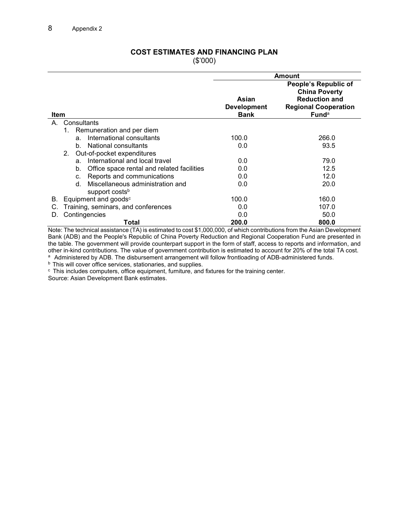#### **COST ESTIMATES AND FINANCING PLAN**  (\$'000)

|                                                  | <b>Amount</b>                                    |                                   |                                                     |
|--------------------------------------------------|--------------------------------------------------|-----------------------------------|-----------------------------------------------------|
|                                                  |                                                  |                                   | People's Republic of<br><b>China Poverty</b>        |
|                                                  |                                                  | Asian                             | <b>Reduction and</b><br><b>Regional Cooperation</b> |
| Item                                             |                                                  | <b>Development</b><br><b>Bank</b> | Fund <sup>a</sup>                                   |
| А.                                               | Consultants                                      |                                   |                                                     |
|                                                  | Remuneration and per diem<br>1.                  |                                   |                                                     |
|                                                  | International consultants<br>a.                  | 100.0                             | 266.0                                               |
|                                                  | National consultants<br>b.                       | 0.0                               | 93.5                                                |
|                                                  | Out-of-pocket expenditures<br>2.                 |                                   |                                                     |
|                                                  | International and local travel<br>a.             | 0.0                               | 79.0                                                |
|                                                  | Office space rental and related facilities<br>b. | 0.0                               | 12.5                                                |
|                                                  | Reports and communications<br>C.                 | 0.0                               | 12.0                                                |
|                                                  | Miscellaneous administration and<br>d.           | 0.0                               | 20.0                                                |
|                                                  | support costs <sup>b</sup>                       |                                   |                                                     |
| В.                                               | Equipment and goods <sup>c</sup>                 | 100.0                             | 160.0                                               |
| Training, seminars, and conferences<br>0.0<br>C. |                                                  |                                   | 107.0                                               |
| υ.                                               | Contingencies                                    | 0.0                               | 50.0                                                |
|                                                  | Total                                            | 200.0                             | 800.0                                               |

Note: The technical assistance (TA) is estimated to cost \$1,000,000, of which contributions from the Asian Development Bank (ADB) and the People's Republic of China Poverty Reduction and Regional Cooperation Fund are presented in the table. The government will provide counterpart support in the form of staff, access to reports and information, and other in-kind contributions. The value of government contribution is estimated to account for 20% of the total TA cost.

a Administered by ADB. The disbursement arrangement will follow frontloading of ADB-administered funds.

**b** This will cover office services, stationaries, and supplies.

c This includes computers, office equipment, furniture, and fixtures for the training center.

Source: Asian Development Bank estimates.